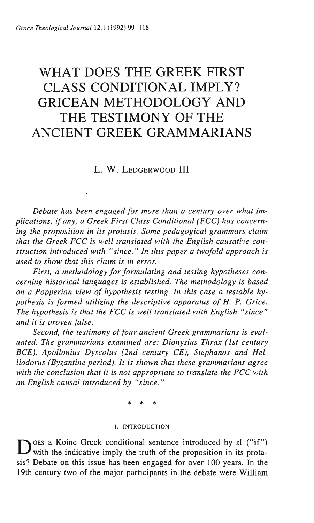# WHAT DOES THE GREEK FIRST CLASS CONDITIONAL IMPLY? GRICEAN METHODOLOGY AND THE TESTIMONY OF THE ANCIENT GREEK GRAMMARIANS

## L. W. LEDGERWOOD III

*Debate has been engaged for more than a century over what implications, if any, a Greek First Class Conditional (FCC) has concerning the proposition in its protasis. Some pedagogical grammars claim that the Greek FCC is well translated with the English causative construction introduced with "since." In this paper a twofold approach is used to show that this claim is in error.* 

*First, a methodology for formulating and testing hypotheses concerning historical languages is established. The methodology is based on a Popperian view of hypothesis testing. In this case a testable hypothesis is formed utilizing the descriptive apparatus of H. P. Grice. The hypothesis is that the FCC is well translated with English "since" and it is proven false.* 

*Second, the testimony of four ancient Greek grammarians is evaluated. The grammarians examined are: Dionysius Thrax (1st century BCE), Apollonius Dyscolus (2nd century CE), Stephanos and Helliodorus (Byzantine period). It is shown that these grammarians agree with the conclusion that it is not appropriate to translate the FCC with an English causal introduced by "since."* 

\* \* \*

#### I. INTRODUCTION

DOES a Koine Greek conditional sentence introduced by  $\epsilon i$  ("if") with the indicative imply the truth of the proposition in its protasis? Debate on this issue has been engaged for over 100 years. In the 19th century two of the major participants in the debate were William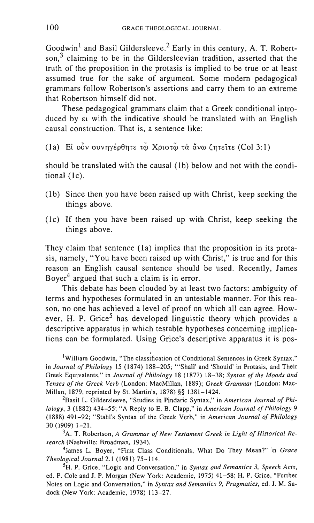Goodwin<sup>1</sup> and Basil Gildersleeve.<sup>2</sup> Early in this century, A. T. Robertson.<sup>3</sup> claiming to be in the Gildersleevian tradition, asserted that the truth of the proposition in the protasis is implied to be true or at least assumed true for the sake of argument. Some modern pedagogical grammars follow Robertson's assertions and carry them to an extreme that Robertson himself did not.

These pedagogical grammars claim that a Greek conditional introduced by  $\epsilon$  with the indicative should be translated with an English causal construction. That is, a sentence like:

(Ia) Ei ούν συνηγέρθητε τω Χριστώ τα άνω ζητείτε (Col 3:1)

should be translated with the causal (1b) below and not with the conditional (Ic).

- (1b) Since then you have been raised up with Christ, keep seeking the things above.
- (1 c) If then you have been raised up with Christ, keep seeking the things above.

They claim that sentence (Ia) implies that the proposition in its protasis, namely, "You have been raised up with Christ," is true and for this reason an English causal sentence should be used. Recently, James Boyer<sup>4</sup> argued that such a claim is in error.

This debate has been clouded by at least two factors: ambiguity of terms and hypotheses formulated in an untestable manner. For this reason, no one has achieved a level of proof on which all can agree. However, H. P. Grice<sup>5</sup> has developed linguistic theory which provides a descriptive apparatus in which testable hypotheses concerning implications can be formulated. Using Grice's descriptive apparatus it is pos-

<sup>1</sup>William Goodwin, "The classification of Conditional Sentences in Greek Syntax," in *Journal of Philology* 15 (1874) 188-205; "'Shall' and 'Should' in Protasis, and Their Greek Equivalents," in *Journal of Philology* 18 (1877) 18-38; *Syntax of the Moods and Tenses of the Greek Verb* (London: MacMillan, 1889); *Greek Grammar* (London: Mac-Millan, 1879, reprinted by St. Martin's, 1878) §§ 1381-1424.

<sup>2</sup>Basil L. Gildersleeve, "Studies in Pindaric Syntax," in *American Journal of Philology,* 3 (1882) 434-55; "A Reply to E. B. Clapp," in *American Journal of Philology 9*  (1888) 491-92; "Stahl's Syntax of the Greek Verb," in *American Journal of Philology*  30 (1909) 1-21.

<sup>3</sup>A. T. Robertson, A Grammar of New Testament Greek in Light of Historical Re*search* (Nashville: Broadman, 1934).

4James L. Boyer, "First Class Conditionals, What Do They Mean?" in *Grace Theological Journal* 2.1 (1981) 75-114.

5H. P. Grice, "Logic and Conversation," in *Syntax and Semantics* 3, *Speech Acts,*  ed. P. Cole and J. P. Morgan (New York: Academic, 1975) 41-58; H. P. Grice, "Further Notes on Logic and Conversation," in *Syntax and Semantics* 9, *Pragmatics,* ed. J. M. Sadock (New York: Academic, 1978) 113-27.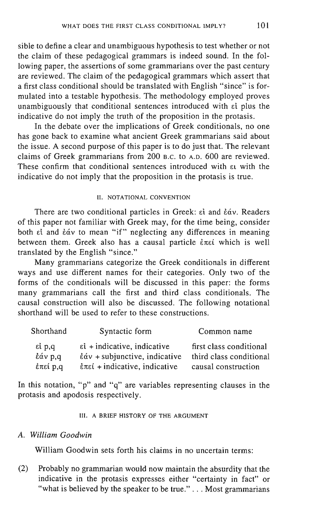sible to define a clear and unambiguous hypothesis to test whether or not the claim of these pedagogical grammars is indeed sound. In the following paper, the assertions of some grammarians over the past century are reviewed. The claim of the pedagogical grammars which assert that a first class conditional should be translated with English "since" is formulated into a testable hypothesis. The methodology employed proves unambiguously that conditional sentences introduced with  $\epsilon_1$  plus the indicative do not imply the truth of the proposition in the protasis.

In the debate over the implications of Greek conditionals, no one has gone back to examine what ancient Greek grammarians said about the issue. A second purpose of this paper is to do just that. The relevant claims of Greek grammarians from 200 B.C. to A.D. 600 are reviewed. These confirm that conditional sentences introduced with  $\epsilon_1$  with the indicative do not imply that the proposition in the protasis is true.

#### II. NOTATIONAL CONVENTION

There are two conditional particles in Greek:  $\epsilon i$  and  $\dot{\epsilon} \dot{\alpha} v$ . Readers of this paper not familiar with Greek may, for the time being, consider both  $\epsilon$ <sup>1</sup> and  $\dot{\epsilon}$  av to mean "if" neglecting any differences in meaning between them. Greek also has a causal particle  $\epsilon \pi \epsilon i$  which is well translated by the English "since."

Many grammarians categorize the Greek conditionals in different ways and use different names for their categories. Only two of the forms of the conditionals will be discussed in this paper: the forms many grammarians call the first and third class conditionals. The causal construction will also be discussed. The following notational shorthand will be used to refer to these constructions.

| Shorthand | Syntactic form                                            | Common name             |
|-----------|-----------------------------------------------------------|-------------------------|
| εί p,q    | $\epsilon$ i + indicative, indicative                     | first class conditional |
| έάν p,q   | $\dot{\epsilon}\acute{\alpha}v$ + subjunctive, indicative | third class conditional |
| έπεί p,q  | $\epsilon$ πεί + indicative, indicative                   | causal construction     |

In this notation, "p" and "q" are variables representing clauses in the protasis and apodosis respectively.

#### Ill. A BRIEF HISTORY OF THE ARGUMENT

#### *A. William Goodwin*

William Goodwin sets forth his claims in no uncertain terms:

(2) Probably no grammarian would now maintain the absurdity that the indicative in the protasis expresses either "certainty in fact" or "what is believed by the speaker to be true." . . . Most grammarians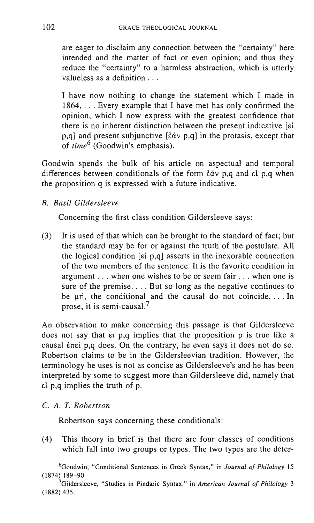are eager to disclaim any connection between the "certainty" here intended and the matter of fact or even opinion; and thus they reduce the "certainty" to a harmless abstraction, which is utterly valueless as a definition ...

I have now nothing to change the statement which I made in 1864, ... Every example that I have met has only confirmed the opinion, which I now express with the greatest confidence that there is no inherent distinction between the present indicative [Ei p,q] and present subjunctive [ $\check{e}\check{a}v$  p,q] in the protasis, except that of *time6* (Goodwin's emphasis).

Goodwin spends the bulk of his article on aspectual and temporal differences between conditionals of the form  $\dot{\epsilon} \dot{\alpha} v$  p,q and  $\dot{\epsilon} \dot{\epsilon}$  p,q when the proposition q is expressed with a future indicative.

## *B. Basil Gildersleeve*

Concerning the first class condition Gildersleeve says:

(3) It is used of that which can be brought to the standard of fact; but the standard may be for or against the truth of the postulate. All the logical condition [Ei p,q] asserts in the inexorable connection of the two members of the sentence. It is the favorite condition in argument ... when one wishes to be or seem fair ... when one is sure of the premise.... But so long as the negative continues to be  $\mu$ n, the conditional and the causal do not coincide.... In prose, it is semi-causal.<sup>7</sup>

An observation to make concerning this passage is that Gildersleeve does not say that Et p,q implies that the proposition p is true like a causal  $\epsilon$ πεί p,q does. On the contrary, he even says it does not do so. Robertson claims to be in the Gildersleevian tradition. However, the terminology he uses is not as concise as Gildersleeve's and he has been interpreted by some to suggest more than Gildersleeve did, namely that Ei p,q implies the truth of p.

#### C. *A. T. Robertson*

Robertson says concerning these conditionals:

(4) This theory in brief is that there are four classes of conditions which fall into two groups or types. The two types are the deter-

6Goodwin, "Conditional Sentences in Greek Syntax," in *Journal of Philology 15*  (1874) 189-90.

<sup>7</sup>Gildersleeve, "Studies in Pindaric Syntax," in *American Journal of Philology 3*  (1882) 435.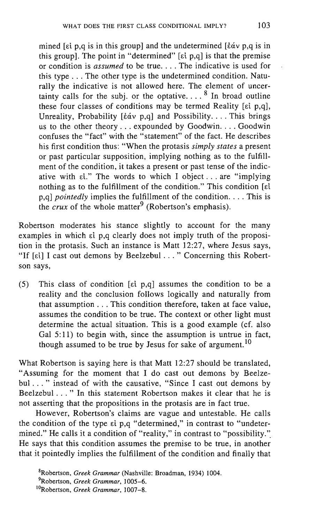mined [ $\epsilon$ i p,q is in this group] and the undetermined  $\epsilon$   $\delta \alpha v$  p,q is in this group]. The point in "determined" [ $\varepsilon$ i p,q] is that the premise or condition is *assumed* to be true .... The indicative is used for this type ... The other type is the undetermined condition. Naturally the indicative is not allowed here. The element of uncertainty calls for the subj. or the optative....  $8 \text{ In broad outline}$ these four classes of conditions may be termed Reality [ $\varepsilon$ i p,q], Unreality, Probability  $[\& \& \nu \quad p,q]$  and Possibility.... This brings us to the other theory ... expounded by Goodwin .... Goodwin confuses the "fact" with the "statement" of the fact. He describes his first condition thus: "When the protasis *simply states* a present or past particular supposition, implying nothing as to the fulfillment of the condition, it takes a present or past tense of the indicative with  $\epsilon i$ ." The words to which I object ... are "implying nothing as to the fulfillment of the condition." This condition  $\lceil d \rceil$ p,q] *pointedly* implies the fulfillment of the condition .... This is the *crux* of the whole matter<sup>9</sup> (Robertson's emphasis).

Robertson moderates his stance slightly to account for the many examples in which  $\varepsilon i$  p,q clearly does not imply truth of the proposition in the protasis. Such an instance is Matt 12:27, where Jesus says, "If [ $\varepsilon$ i] I cast out demons by Beelzebul . . . " Concerning this Robertson says,

(5) This class of condition [ $\epsilon i$  p,q] assumes the condition to be a reality and the conclusion follows logically and naturally from that assumption ... This condition therefore, taken at face value, assumes the condition to be true. The context or other light must determine the actual situation. This is a good example (cf. also Gal 5:11) to begin with, since the assumption is untrue in fact, though assumed to be true by Jesus for sake of argument.<sup>10</sup>

What Robertson is saying here is that Matt 12:27 should be translated, "Assuming for the moment that I do cast out demons by Beelzebul ..." instead of with the causative, "Since I cast out demons by Beelzebul ... " In this statement Robertson makes it clear that he is not asserting that the propositions in the protasis are in fact true.

However, Robertson's claims are vague and untestable. He calls the condition of the type  $\varepsilon i$  p,q "determined," in contrast to "undetermined." He calls it a condition of "reality," in contrast to "possibility." He says that this condition assumes the premise to be true, in another that it pointedly implies the fulfillment of the condition and finally that

<sup>8</sup>Robertson, *Greek Grammar* (Nashville: Broadman, 1934) 1004. 9Robertson, *Greek Grammar,* 1005-6.

<sup>&</sup>lt;sup>10</sup>Robertson, *Greek Grammar*, 1007-8.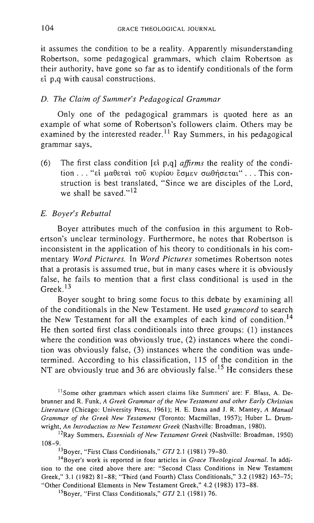it assumes the condition to be a reality. Apparently misunderstanding Robertson, some pedagogical grammars, which claim Robertson as their authority, have gone so far as to identify conditionals of the form d p,q with causal constructions.

#### *D. The Claim of Summer's Pedagogical Grammar*

Only one of the pedagogical grammars is quoted here as an example of what some of Robertson's followers claim. Others may be examined by the interested reader.<sup>11</sup> Ray Summers, in his pedagogical grammar says,

(6) The first class condition [d p,q] *affirms* the reality of the condition ... "εί μαθεται τοῦ κυρίου ἔσμεν σωθήσεται" ... This construction is best translated, "Since we are disciples of the Lord, we shall be saved." $12$ 

#### E. *Boyer's Rebuttal*

Boyer attributes much of the confusion in this argument to Robertson's unclear terminology. Furthermore, he notes that Robertson is inconsistent in the application of his theory to conditionals in his commentary *Word Pictures.* In *Word Pictures* sometimes Robertson notes that a protasis is assumed true, but in many cases where it is obviously false, he fails to mention that a first class conditional is used in the Greek. <sup>13</sup>

Boyer sought to bring some focus to this debate by examining all of the conditionals in the New Testament. He used *gramcord* to search the New Testament for all the examples of each kind of condition.<sup>14</sup> He then sorted first class conditionals into three groups: (1) instances where the condition was obviously true, (2) instances where the condition was obviously false, (3) instances where the condition was undetermined. According to his classification, 115 of the condition in the NT are obviously true and 36 are obviously false.<sup>15</sup> He considers these

<sup>11</sup> Some other grammars which assert claims like Summers' are: F. Blass, A. Debrunner and R. Funk, *A Greek Grammar of the New Testament and other Early Christian Literature* (Chicago: University Press, 1961); H. E. Dana and J. R. Mantey, *A Manual Grammar of the Greek New Testament* (Toronto: Macmillan, 1957); Huber L. Drumwright, *An Introduction to New Testament Greek* (Nashville: Broadman, 1980).

12Ray Summers, *Essentials of New Testament Greek* (Nashville: Broadman, 1950) 108-9.

13Boyer, "First Class Conditionals," *GTJ* 2.1 (1981) 79-80.

14Boyer's work is reported in four articles in *Grace Theological Journal.* In addition to the one cited above there are: "Second Class Conditions in New Testament Greek," 3.1 (1982) 81-88; "Third (and Fourth) Class Conditionals," 3.2 (1982) 163-75; "Other Conditional Elements in New Testament Greek," 4.2 (1983) 173-88.

15Boyer, "First Class Conditionals," *GTJ* 2.1 (1981) 76.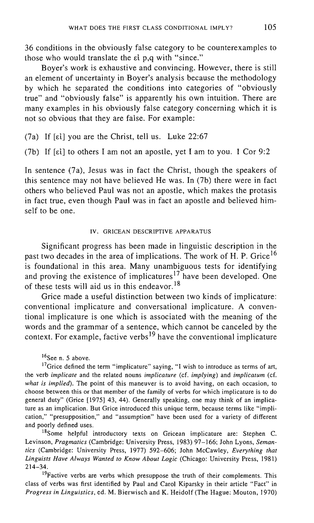36 conditions in the obviously false category to be counterexamples to those who would translate the  $\varepsilon$  p, $\alpha$  with "since."

Boyer's work is exhaustive and convincing. However, there is still an element of uncertainty in Boyer's analysis because the methodology by which he separated the conditions into categories of "obviously true" and "obviously false" is apparently his own intuition. There are many examples in his obviously false category concerning which it is not so obvious that they are false. For example:

(7a) If  $[\epsilon\iota]$  you are the Christ, tell us. Luke 22:67

(7b) If  $\lceil \varepsilon i \rceil$  to others I am not an apostle, yet I am to you. 1 Cor 9:2

In sentence (7a), Jesus was in fact the Christ, though the speakers of this sentence may not have believed He was. In (7b) there were in fact others who believed Paul was not an apostle, which makes the protasis in fact true, even though Paul was in fact an apostle and believed himself to be one.

#### IV. GRICEAN DESCRIPTIVE APPARATUS

Significant progress has been made in linguistic description in the past two decades in the area of implications. The work of H. P. Grice<sup>16</sup> is foundational in this area. Many unambiguous tests for identifying and proving the existence of implicatures<sup>17</sup> have been developed. One of these tests will aid us in this endeavor. <sup>18</sup>

Grice made a useful distinction between two kinds of implicature: conventional implicature and conversational implicature. A conventional implicature is one which is associated with the meaning of the words and the grammar of a sentence, which cannot be canceled by the context. For example, factive verbs  $19$  have the conventional implicature

<sup>16</sup>See n. 5 above.

 $17$  Grice defined the term "implicature" saying, "I wish to introduce as terms of art, the verb *implicate* and the related nouns *implicature* (cf. *implying)* and *implicatum* (cf. *what* is *implied).* The point of this maneuver is to avoid having, on each occasion, to choose between this or that member of the family of verbs for which implicature is to do general duty" (Grice [1975] 43, 44). Generally speaking, one may think of an implicature as an implication. But Grice introduced this unique term, because terms like "implication," "presupposition," and "assumption" have been used for a variety of different and poorly defined uses.

<sup>18</sup>Some helpful introductory texts on Gricean implicature are: Stephen C. Levinson, *Pragmatics* (Cambridge: University Press, 1983) 97-166; John Lyons, *Semantics* (Cambridge: University Press, 1977) 592-606; John McCawley, *Everything that Linguists Have Always Wanted to Know About Logic* (Chicago: University Press, 1981) 214-34.

<sup>19</sup>Factive verbs are verbs which presuppose the truth of their complements. This class of verbs was first identified by Paul and Carol Kiparsky in their article "Pact" in *Progress in Linguistics,* ed. M. Bierwisch and K. Heidolf (The Hague: Mouton, 1970)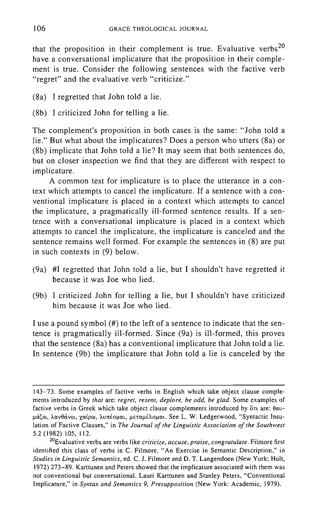that the proposition in their complement is true. Evaluative verbs<sup>20</sup> have a conversational implicature that the proposition in their complement is true. Consider the following sentences with the factive verb "regret" and the evaluative verb "criticize."

- (8a) I regretted that John told a lie.
- (8b) I criticized John for telling a lie.

The complement's proposition in both cases is the same: "John told a lie." But what about the implicatures? Does a person who utters (8a) or (8b) implicate that John told a lie? It may seem that both sentences do, but on closer inspection we find that they are different with respect to implicature.

A common test for implicature is to place the utterance in a context which attempts to cancel the implicature. If a sentence with a conventional implicature is placed in a context which attempts to cancel the implicature, a pragmatically ill-formed sentence results. If a sentence with a conversational implicature is placed in a context which attempts to cancel the implicature, the implicature is canceled and the sentence remains well formed. For example the sentences in (8) are put in such contexts in (9) below.

- (9a) #1 regretted that John told a lie, but I shouldn't have regretted it because it was Joe who lied.
- (9b) I criticized John for telling a lie, but I shouldn't have criticized him because it was Joe who lied.

I use a pound symbol (#) to the left of a sentence to indicate that the sentence is pragmatically ill-formed. Since (9a) is ill-formed, this proves that the sentence (8a) has a conventional implicature that John told a lie. In sentence (9b) the implicature that John told a lie is canceled by the

<sup>143-73.</sup> Some examples of factive verbs in English which take object clause complements introduced by *that* are: *regret, resent, deplore, be odd, be glad.* Some examples of factive verbs in Greek which take object clause complements introduced by  $\delta x_i$  are:  $\theta \alpha v$ μάζω, λανθάνω, χαίρω, λυπέομαι, μεταμέλομαι. See L. W. Ledgerwood, "Syntactic Insulation of Factive Clauses," in *The Journal of the Linguistic Association of the Southwest*  5.2 (1982) 105, 112.

<sup>20</sup>Evaluative verbs are verbs like *criticize, accuse, praise, congratulate.* Filmore first identified this class of verbs in C. Filmore, "An Exercise in Semantic Description," in *Studies in Linguistic Semantics,* ed. C. J. Filmore and D. T. Langendoen (New York: Holt, 1972) 273-89. Karttunen and Peters showed that the implicature associated with them was not conventional but conversational. Lauri Karttunen and Stanley Peters, "Conventional Implicature," in *Syntax and Semantics* 9, *Presupposition* (New York: Academic, 1979).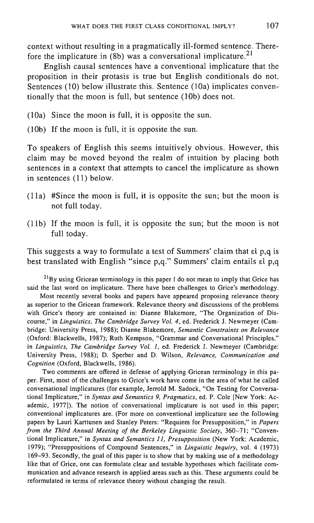context without resulting in a pragmatically ill-formed sentence. Therefore the implicature in  $(8b)$  was a conversational implicature.<sup>21</sup>

English causal sentences have a conventional implicature that the proposition in their protasis is true but English conditionals do not. Sentences (10) below illustrate this. Sentence (10a) implicates conventionally that the moon is full, but sentence (lOb) does not.

(lOa) Since the moon is full, it is opposite the sun.

(lOb) If the moon is full, it is opposite the sun.

To speakers of English this seems intuitively obvious. However, this claim may be moved beyond the realm of intuition by placing both sentences in a context that attempts to cancel the implicature as shown in sentences (11) below.

- (lla) #Since the moon is full, it is opposite the sun; but the moon is not full today.
- $(11b)$  If the moon is full, it is opposite the sun; but the moon is not full today.

This suggests a way to formulate a test of Summers' claim that  $\epsilon i$  p,q is best translated with English "since p,q." Summers' claim entails et p,q

 $^{21}$ By using Gricean terminology in this paper I do not mean to imply that Grice has said the last word on implicature. There have been challenges to Grice's methodology.

Most recently several books and papers have appeared proposing relevance theory as superior to the Gricean framework. Relevance theory and discussions of the problems with Grice's theory are contained in: Dianne Blakemore, "The Organization of Discourse," in *Linguistics, The Cambridge Survey Vol.* 4, ed. Frederick J. Newmeyer (Cambridge: University Press, 1988); Dianne Blakemore, *Semantic Constraints on Relevance*  (Oxford: Blackwells, 1987); Ruth Kempson, "Grammar and Conversational Principles," in *Linguistics, The Cambridge Survey Vol.* 1, ed. Frederick J. Newmeyer (Cambridge: University Press, 1988); D. Sperber and D. Wilson, *Relevance, Communication and Cognition* (Oxford, Blackwells, 1986).

Two comments are offered in defense of applying Gricean terminology in this paper. First, most of the challenges to Grice's work have come in the area of what he called conversational implicatures (for example, Jerrold M. Sadock, "On Testing for Conversational Implicature," in *Syntax and Semantics* 9, *Pragmatics,* ed. P. Cole [New York: Academic, 1977]). The notion of conversational implicature is not used in this paper; conventional implicatures are. (For more on conventional implicature see the following papers by Lauri Karttunen and Stanley Peters: "Requiem for Presupposition," in *Papers from the Third Annual Meeting of the Berkeley Linguistic Society,* 360-71; "Conventional Implicature," in *Syntax and Semantics* 11, *Presupposition* (New York: Academic, 1979); "Presuppositions of Compound Sentences," in *Linguistic Inquiry,* vol. 4 (1973) 169-93. Secondly, the goal of this paper is to show that by making use of a methodology like that of Grice, one can formulate clear and testable hypotheses which facilitate communication and advance research in applied areas such as this. These arguments could be reformulated in terms of relevance theory without changing the result.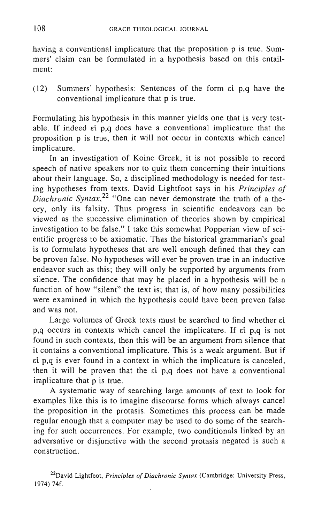having a conventional implicature that the proposition p is true. Summers' claim can be formulated in a hypothesis based on this entailment:

 $(12)$  Summers' hypothesis: Sentences of the form  $\epsilon i$  p,q have the conventional implicature that p is true.

Formulating his hypothesis in this manner yields one that is very testable. If indeed  $\epsilon i$  p,q does have a conventional implicature that the proposition p is true, then it will not occur in contexts which cancel implicature.

In an investigation of Koine Greek, it is not possible to record speech of native speakers nor to quiz them concerning their intuitions about their language. So, a disciplined methodology is needed for testing hypotheses from texts. David Lightfoot says in his *Principles of Diachronic Syntax*,<sup>22</sup> "One can never demonstrate the truth of a theory, only its falsity. Thus progress in scientific endeavors can be viewed as the successive elimination of theories shown by empirical investigation to be false." I take this somewhat Popperian view of scientific progress to be axiomatic. Thus the historical grammarian's goal is to formulate hypotheses that are well enough defined that they can be proven false. No hypotheses will ever be proven true in an inductive endeavor such as this; they will only be supported by arguments from silence. The confidence that may be placed in a hypothesis will be a function of how "silent" the text is; that is, of how many possibilities were examined in which the hypothesis could have been proven false and was not.

Large volumes of Greek texts must be searched to find whether  $\epsilon i$  $p,q$  occurs in contexts which cancel the implicature. If  $\varepsilon i$   $p,q$  is not found in such contexts, then this will be an argument from silence that it contains a conventional implicature. This is a weak argument. But if  $e^{i}$  p,q is ever found in a context in which the implicature is canceled, then it will be proven that the  $\varepsilon i$  p,q does not have a conventional implicature that p is true.

A systematic way of searching large amounts of text to look for examples like this is to imagine discourse forms which always cancel the proposition in the protasis. Sometimes this process can be made regular enough that a computer may be used to do some of the searching for such occurrences. For example, two conditionals linked by an adversative or disjunctive with the second protasis negated is such a construction.

22David Lightfoot, *Principles of Diachronic Syntax* (Cambridge: University Press, 1974) 74f.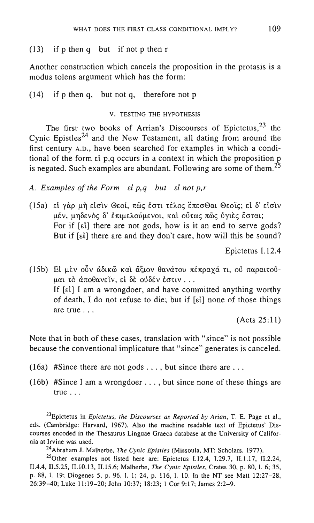#### $(13)$  if p then q but if not p then r

Another construction which cancels the proposition in the protasis is a modus tolens argument which has the form:

(14) if p then q, but not q, therefore not p

#### v. TESTING THE HYPOTHESIS

The first two books of Arrian's Discourses of Epictetus,  $23$  the Cynic Epistles<sup>24</sup> and the New Testament, all dating from around the first century A.D., have been searched for examples in which a conditional of the form  $\epsilon i$  p,q occurs in a context in which the proposition p is negated. Such examples are abundant. Following are some of them.<sup>25</sup>

A. *Examples of the Form el p,q but el not p,r* 

(15a) εί γάρ μὴ εἰσὶν Θεοί, πῶς ἐστι τέλος ἕπεσΘαι Θεοῖς; εἰ δ' εἰσὶν μέν, μηδενός δ' έπιμελούμενοι, και ούτως πῶς υγιες έσται; For if [al] there are not gods, how is it an end to serve gods? But if [ $\epsilon$ i] there are and they don't care, how will this be sound?

Epictetus 1.12.4

(15b) Ei μεν ούν άδικῶ και ἄξιον θανάτου πέπραχά τι, ού παραιτοῦμαι τὸ ἀποθανεῖν, εἰ δὲ οὐδέν ἐστιν ... If  $[\epsilon\iota]$  I am a wrongdoer, and have committed anything worthy of death, I do not refuse to die; but if [ $\epsilon i$ ] none of those things are true ...

(Acts 25: **11)** 

Note that in both of these cases, translation with "since" is not possible because the conventional implicature that "since" generates is canceled.

- (16a) #Since there are not gods  $\dots$ , but since there are  $\dots$
- (16b) #Since <sup>I</sup>am a wrongdoer ... , but since none of these things are true ...

23Epictetus in *Epictetus, the Discourses as Reported by Arian,* T. E. Page et aI., eds. (Cambridge: Harvard, 1967). Also the machine readable text of Epictetus' Discourses encoded in the Thesaurus Linguae Graeca database at the University of California at Irvine was used.

24Abraham J. Malherbe, *The Cynic Epistles* (Missoula, MT: Scholars, 1977).

<sup>25</sup>Other examples not listed here are: Epictetus I.12.4, I.29.7, II.1.17, II.2.24, II.4.4, II.5.25, II.IO.l3, II.15.6; Malherbe, *The Cynic Epistles,* Crates 30, p. 80,1. 6; 35, p. 88, 1. 19; Diogenes 5, p. 96, 1. 1; 24, p. 116, 1. 10. In the NT see Matt 12:27-28, 26:39-40; Luke 11:19-20; John 10:37; 18:23; 1 Cor 9:17; James 2:2-9.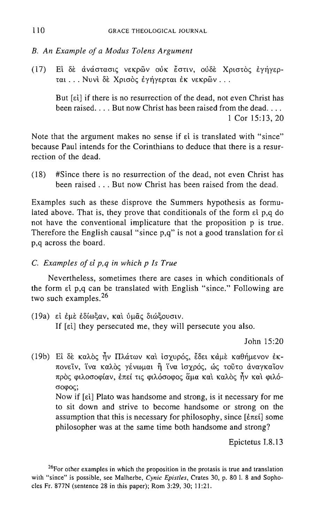#### *B. An Example of a Modus To/ens Argument*

(17) Ei δε ανάστασις νεκρών ούκ έστιν, ούδε Χριστός εγήγερται ... Νυνί δε Χρισός εγήγερται εκ νεκρών ...

But [ei] if there is no resurrection of the dead, not even Christ has been raised.... But now Christ has been raised from the dead... 1 Cor 15:13,20

Note that the argument makes no sense if at is translated with "since" because Paul intends for the Corinthians to deduce that there is a resurrection of the dead.

(18) #Since there is no resurrection of the dead, not even Christ has been raised ... But now Christ has been raised from the dead.

Examples such as these disprove the Summers hypothesis as formulated above. That is, they prove that conditionals of the form  $\epsilon i$  p,q do not have the conventional implicature that the proposition p is true. Therefore the English causal "since  $p,q$ " is not a good translation for  $\varepsilon i$ p,q across the board.

C. *Examples of* el *p,q in which p Is True* 

Nevertheless, sometimes there are cases in which conditionals of the form  $\epsilon i$  p,q can be translated with English "since." Following are two such examples.<sup>26</sup>

(19a) εί έμε εδίωξαν, και ύμας διώξουσιν. If [ $\epsilon$ i] they persecuted me, they will persecute you also.

John 15:20

(19b) Ei δε καλός ήν Πλάτων και ισγυρός, έδει κάμε καθήμενον έκπονεΐν, ΐνα καλός γένωμαι ή ΐνα ισχρός, ώς τοῦτο ἀναγκαῖον πρός φιλοσοφίαν, έπεί τις φιλόσοφος ἅμα και καλὸς ἦν και φιλόσοφος;

Now if [ $\varepsilon$ i] Plato was handsome and strong, is it necessary for me to sit down and strive to become handsome or strong on the assumption that this is necessary for philosophy, since  $[\hat{\epsilon} \pi \epsilon \hat{\epsilon}]$  some philosopher was at the same time both handsome and strong?

Epictetus 1.8.13

 $26$  For other examples in which the proposition in the protasis is true and translation with "since" is possible, see Malherbe, *Cynic Epistles,* Crates 30, p. 80 1. 8 and Sophocles Pr. 877N (sentence 28 in this paper); Rom 3:29, 30; 11 :21.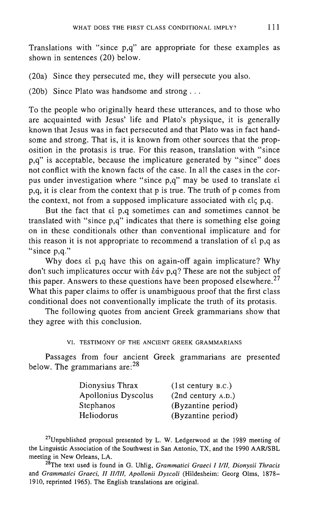Translations with "since p,q" are appropriate for these examples as shown in sentences (20) below.

(20a) Since they persecuted me, they will persecute you also.

(20b) Since Plato was handsome and strong ...

To the people who originally heard these utterances, and to those who are acquainted with Jesus' life and Plato's physique, it is generally known that Jesus was in fact persecuted and that Plato was in fact handsome and strong. That is, it is known from other sources that the proposition in the protasis is true. For this reason, translation with "since p,q" is acceptable, because the implicature generated by "since" does not conflict with the known facts of the case. In all the cases in the corpus under investigation where "since  $p,q$ " may be used to translate  $\epsilon i$ p,q, it is clear from the context that p is true. The truth of p comes from the context, not from a supposed implicature associated with  $\epsilon i \in p,q$ .

But the fact that  $\epsilon i$  p,q sometimes can and sometimes cannot be translated with "since p,q" indicates that there is something else going on in these conditionals other than conventional implicature and for this reason it is not appropriate to recommend a translation of  $\epsilon i$  p,q as "since p,q."

Why does  $\epsilon i$  p,q have this on again-off again implicature? Why don't such implicatures occur with  $\frac{\partial u}{\partial y}$ ,  $\frac{\partial u}{\partial y}$  These are not the subject of this paper. Answers to these questions have been proposed elsewhere.<sup>27</sup> What this paper claims to offer is unambiguous proof that the first class conditional does not conventionally implicate the truth of its protasis.

The following quotes from ancient Greek grammarians show that they agree with this conclusion.

VI. TESTIMONY OF THE ANCIENT GREEK GRAMMARIANS

Passages from four ancient Greek grammarians are presented below. The grammarians are: <sup>28</sup>

| Dionysius Thrax            | (1st century B.C.) |
|----------------------------|--------------------|
| <b>Apollonius Dyscolus</b> | (2nd century A.D.) |
| Stephanos                  | (Byzantine period) |
| Heliodorus                 | (Byzantine period) |

 $27$ Unpublished proposal presented by L. W. Ledgerwood at the 1989 meeting of the Linguistic Association of the Southwest in San Antonio, TX, and the 1990 AAR/SBL meeting in New Orleans, LA.

<sup>28</sup>The text used is found in G. Uhlig, *Grammatici Graeci I I/II, Dionysii Thracis* and *Grammatici Graeci, II II/III, Apollonii Dyscoli* (Hildesheim: Georg Olms, 1878-1910, reprinted 1965). The English translations are original.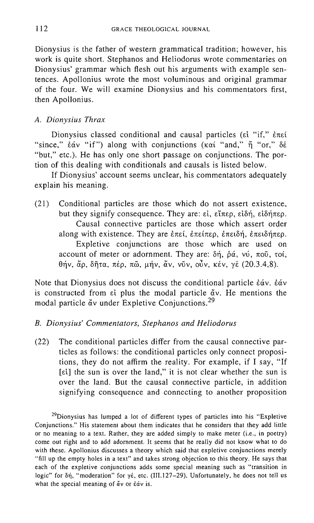Dionysius is the father of western grammatical tradition; however, his work is quite short. Stephanos and Heliodorus wrote commentaries on Dionysius' grammar which flesh out his arguments with example sentences. Apollonius wrote the most voluminous and original grammar of the four. We will examine Dionysius and his commentators first, then Apollonius.

#### A. *Dionysius Thrax*

Dionysius classed conditional and causal particles ( $\epsilon i$  "if,"  $\epsilon \pi \epsilon i$ "since,"  $\acute{\epsilon}$ av "if") along with conjunctions ( $\kappa$ ai "and,"  $\acute{\eta}$  "or,"  $\delta\acute{\epsilon}$ "but," etc.). He has only one short passage on conjunctions. The portion of this dealing with conditionals and causals is listed below.

If Dionysius' account seems unclear, his commentators adequately explain his meaning.

(21) Conditional particles are those which do not assert existence, but they signify consequence. They are: εί, εἴπερ, εἰδή, εἰδήπερ. Causal connective particles are those which assert order along with existence. They are επεί, επείπερ, επειδή, επειδήπερ. Expletive conjunctions are those which are used on account of meter or adornment. They are:  $\delta \eta$ ,  $\dot{\rho} \dot{\alpha}$ , vú,  $\pi$ oo
<sub>0</sub>,  $\tau$ oi,  $θην$ , ἄρ, δῆτα, πέρ, πῶ, μήν, ἄν, νῦν, οὖν, κέν, γέ (20.3.4,8).

Note that Dionysius does not discuss the conditional particle  $\dot{\epsilon}$ áv.  $\dot{\epsilon}$ áv is constructed from  $\varepsilon i$  plus the modal particle  $\check{\alpha}v$ . He mentions the modal particle  $\check{a}v$  under Expletive Conjunctions.<sup>29</sup>

#### B. *Dionysius' Commentators, Stephanos and Heliodorus*

(22) The conditional particles differ from the causal connective particles as follows: the conditional particles only connect propositions, they do not affirm the reality. For example, if I say, "If [ $\epsilon$ i] the sun is over the land," it is not clear whether the sun is over the land. But the causal connective particle, in addition signifying consequence and connecting to another proposition

<sup>29</sup>Dionysius has lumped a lot of different types of particles into his "Expletive Conjunctions." His statement about them indicates that he considers that they add little or no meaning to a text. Rather, they are added simply to make meter (i.e., in poetry) come out right and to add adornment. It seems that he really did not know what to do with these. Apollonius discusses a theory which said that expletive conjunctions merely "fill up the empty holes in a text" and takes strong objection to this theory. He says that each of the expletive conjunctions adds some special meaning such as "transition in logic" for  $\delta \eta$ , "moderation" for  $\gamma \epsilon$ , etc. (III.127-29). Unfortunately, he does not tell us what the special meaning of  $\check{a}v$  or  $\check{e}\check{a}v$  is.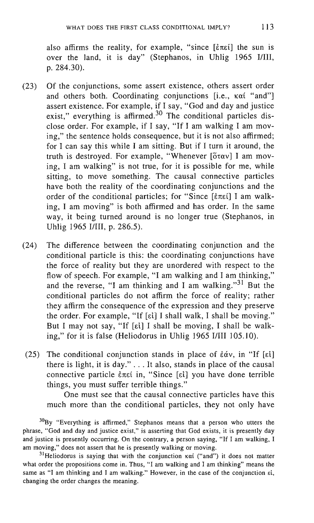also affirms the reality, for example, "since  $[\text{\textless}\,\text{\small{met}}]$  the sun is over the land, it is day" (Stephanos, in Uhlig 1965 I/III, p.284.30).

- (23) Of the conjunctions, some assert existence, others assert order and others both. Coordinating conjunctions [i.e.,  $\kappa \alpha i$  "and"] assert existence. For example, if I say, "God and day and justice exist," everything is affirmed. $30$  The conditional particles disclose order. For example, if I say, "If I am walking I am moving," the sentence holds consequence, but it is not also affirmed; for I can say this while I am sitting. But if I turn it around, the truth is destroyed. For example, "Whenever [ὅταν] I am moving, I am walking" is not true, for it is possible for me, while sitting, to move something. The causal connective particles have both the reality of the coordinating conjunctions and the order of the conditional particles; for "Since  $[\hat{\epsilon}\pi\hat{\epsilon}]$  I am walking, I am moving" is both affirmed and has order. In the same way, it being turned around is no longer true (Stephanos, in Uhlig 1965 I/III, p. 286.5).
- (24) The difference between the coordinating conjunction and the conditional particle is this: the coordinating conjunctions have the force of reality but they are unordered with respect to the flow of speech. For example, "I am walking and I am thinking," and the reverse, "I am thinking and I am walking."<sup>31</sup> But the conditional particles do not affirm the force of reality; rather they affirm the consequence of the expression and they preserve the order. For example, "If  $[\epsilon\mathfrak{i}]$  I shall walk, I shall be moving." But I may not say, "If [ $\varepsilon$ i] I shall be moving, I shall be walking," for it is false (Heliodorus in Uhlig 1965 I/III 105.10).
- (25) The conditional conjunction stands in place of  $\epsilon \dot{\alpha} v$ , in "If [ $\epsilon i$ ] there is light, it is day." ... It also, stands in place of the causal connective particle  $\epsilon \pi \epsilon$  in, "Since [ $\epsilon$ i] you have done terrible things, you must suffer terrible things."

One must see that the causal connective particles have this much more than the conditional particles, they not only have

 $30$ By "Everything is affirmed," Stephanos means that a person who utters the phrase, "God and day and justice exist," is asserting that God exists, it is presently day and justice is presently occurring. On the contrary, a person saying, "If I am walking, I am moving," does not assert that he is presently walking or moving.

<sup>31</sup>Heliodorus is saying that with the conjunction  $x\alpha i$  ("and") it does not matter what order the propositions come in. Thus, "I am walking and I am thinking" means the same as "I am thinking and I am walking." However, in the case of the conjunction  $\epsilon i$ , changing the order changes the meaning.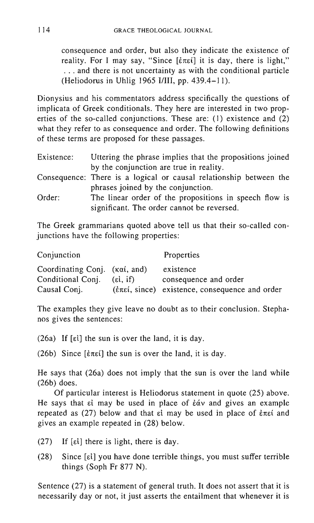consequence and order, but also they indicate the existence of reality. For I may say, "Since  $[\ell \pi \epsilon \ell]$  it is day, there is light," ... and there is not uncertainty as with the conditional particle (Heliodorus in Uhlig 1965 I/III, pp. 439.4-11).

Dionysius and his commentators address specifically the questions of implicata of Greek conditionals. They here are interested in two properties of the so-called conjunctions. These are: (1) existence and (2) what they refer to as consequence and order. The following definitions of these terms are proposed for these passages.

| Existence: | Uttering the phrase implies that the propositions joined           |  |
|------------|--------------------------------------------------------------------|--|
|            | by the conjunction are true in reality.                            |  |
|            | Consequence: There is a logical or causal relationship between the |  |
|            | phrases joined by the conjunction.                                 |  |
| Order:     | The linear order of the propositions in speech flow is             |  |
|            | significant. The order cannot be reversed.                         |  |

The Greek grammarians quoted above tell us that their so-called conjunctions have the following properties:

| Conjunction                                         |          | <b>Properties</b>                                                               |
|-----------------------------------------------------|----------|---------------------------------------------------------------------------------|
| Coordinating Conj. $(\kappa \alpha i, \text{ and})$ |          | existence                                                                       |
| Conditional Conj.                                   | (εί, if) | consequence and order                                                           |
| Causal Conj.                                        |          | $(\dot{\epsilon}\pi\epsilon i, \text{ since})$ existence, consequence and order |

The examples they give leave no doubt as to their conclusion. Stephanos gives the sentences:

(26a) If  $\lceil \varepsilon \rceil$  the sun is over the land, it is day.

(26b) Since  $[\hat{\epsilon}\pi\epsilon\hat{i}]$  the sun is over the land, it is day.

He says that (26a) does not imply that the sun is over the land while (26b) does.

Of particular interest is Heliodorus statement in quote (25) above. He says that  $\epsilon i$  may be used in place of  $\dot{\epsilon} \dot{\alpha} v$  and gives an example repeated as  $(27)$  below and that  $\varepsilon$  may be used in place of  $\varepsilon \pi \varepsilon$  and gives an example repeated in (28) below.

- (27) If  $[\varepsilon \mathbf{i}]$  there is light, there is day.
- (28) Since [d] you have done terrible things, you must suffer terrible things (Soph Fr 877 N).

Sentence (27) is a statement of general truth. It does not assert that it is necessarily day or not, it just asserts the entailment that whenever it is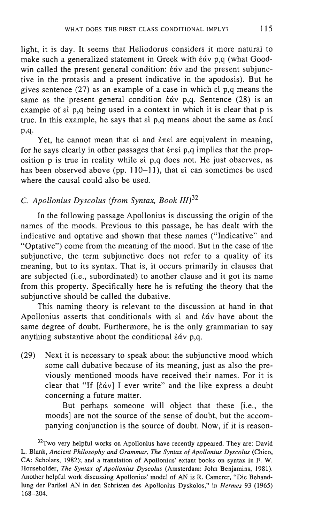light, it is day. It seems that Heliodorus considers it more natural to make such a generalized statement in Greek with  $\epsilon \dot{\alpha} v$  p,q (what Goodwin called the present general condition:  $\dot{\epsilon} \dot{\alpha} v$  and the present subjunctive in the protasis and a present indicative in the apodosis). But he gives sentence (27) as an example of a case in which  $\epsilon i$  p,q means the same as the present general condition  $\dot{\epsilon}$  av p,q. Sentence (28) is an example of  $\varepsilon i$  p,q being used in a context in which it is clear that p is true. In this example, he says that  $\epsilon i$  p,q means about the same as  $\dot{\epsilon}$ mei p,q.

Yet, he cannot mean that  $\varepsilon i$  and  $\varepsilon \pi \varepsilon i$  are equivalent in meaning, for he says clearly in other passages that  $\epsilon \pi \epsilon i$  p,q implies that the proposition p is true in reality while Ei p,q does not. He just observes, as has been observed above (pp.  $110-11$ ), that  $\varepsilon i$  can sometimes be used where the causal could also be used.

# C. *Apollonius Dyscolus (from Syntax, Book ///)32*

In the following passage Apollonius is discussing the origin of the names of the moods. Previous to this passage, he has dealt with the indicative and optative and shown that these names ("Indicative" and "Optative") come from the meaning of the mood. But in the case of the subjunctive, the term subjunctive does not refer to a quality of its meaning, but to its syntax. That is, it occurs primarily in clauses that are subjected (i.e., subordinated) to another clause and it got its name from this property. Specifically here he is refuting the theory that the subjunctive should be called the dubative.

This naming theory is relevant to the discussion at hand in that Apollonius asserts that conditionals with  $\varepsilon$ i and  $\varepsilon$ áv have about the same degree of doubt. Furthermore, he is the only grammarian to say anything substantive about the conditional  $\dot{\epsilon}$   $\dot{\alpha}$  v p,q.

(29) Next it is necessary to speak about the subjunctive mood which some call dubative because of its meaning, just as also the previously mentioned moods have received their names. For it is clear that "If  $\lceil \frac{\dot{\epsilon} \dot{\alpha}}{1} \rceil$  ever write" and the like express a doubt concerning a future matter.

But perhaps someone will object that these [i.e., the moods] are not the source of the sense of doubt, but the accompanying conjunction is the source of doubt. Now, if it is reason-

<sup>&</sup>lt;sup>32</sup>Two very helpful works on Apollonius have recently appeared. They are: David L. Blank, *Ancient Philosophy and Grammar, The Syntax of Apollonius Dyscolus* (Chico, CA: Scholars, 1982); and a translation of Apollonius' extant books on syntax in F. W. Householder, *The Syntax of Apollonius Dyscolus* (Amsterdam: John Benjamins, 1981). Another helpful work discussing Apollonius' model of AN is R. Camerer, "Die Behandlung der Parikel AN in den Schristen des Apollonius Dyskoios," in *Hermes* 93 (1965) 168-204.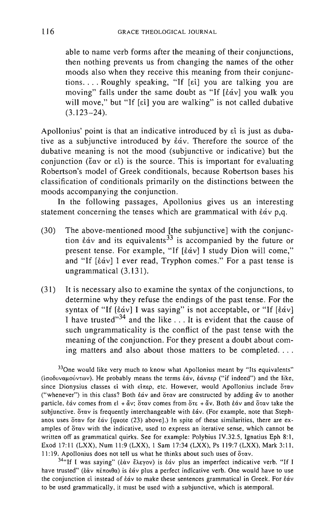able to name verb forms after the meaning of their conjunctions, then nothing prevents us from changing the names of the other moods also when they receive this meaning from their conjunctions.... Roughly speaking, "If  $[\epsilon \iota]$  you are talking you are moving" falls under the same doubt as "If  $[\hat{\epsilon} \hat{\alpha} v]$  you walk you will move," but "If [ $\varepsilon$ i] you are walking" is not called dubative  $(3.123 - 24)$ .

Apollonius' point is that an indicative introduced by  $\varepsilon i$  is just as dubative as a subjunctive introduced by  $\dot{\epsilon}$  av. Therefore the source of the dubative meaning is not the mood (subjunctive or indicative) but the conjunction ( $\xi \alpha v$  or  $\epsilon i$ ) is the source. This is important for evaluating Robertson's model of Greek conditionals, because Robertson bases his classification of conditionals primarily on the distinctions between the moods accompanying the conjunction.

In the following passages, Apollonius gives us an interesting statement concerning the tenses which are grammatical with  $\dot{\epsilon}$ αν p,q.

- (30) The above-mentioned mood [the subjunctive] with the conjunction  $\epsilon \dot{\alpha}$  and its equivalents<sup>33</sup> is accompanied by the future or present tense. For example, "If [¿av] I study Dion will come," and "If  $[\dot{\varepsilon} \dot{\alpha} v]$  I ever read, Tryphon comes." For a past tense is ungrammatical (3.131).
- (31) It is necessary also to examine the syntax of the conjunctions, to determine why they refuse the endings of the past tense. For the syntax of "If  $[\dot{\epsilon}\dot{\alpha}v]$  I was saying" is not acceptable, or "If  $[\dot{\epsilon}\dot{\alpha}v]$ I have trusted $^{334}$  and the like ... It is evident that the cause of such ungrammaticality is the conflict of the past tense with the meaning of the conjunction. For they present a doubt about coming matters and also about those matters to be completed....

 $33$ One would like very much to know what Apollonius meant by "Its equivalents" (iσοδυναμούντων). He probably means the terms εάν, εάνπερ ("if indeed") and the like, since Dionysius classes el with  $\epsilon\text{ln}$ etc. However, would Apollonius include  $\text{ln}$ ("whenever") in this class? Both  $\frac{2}{3}$  and  $\frac{2}{3}$  are constructed by adding  $\frac{2}{3}$  to another particle. Eav comes from  $\epsilon i + \alpha v$ ; Stav comes from  $\delta \tau \epsilon + \alpha v$ . Both  $\epsilon \dot{\alpha} v$  and Stav take the subjunctive.  $\delta$  tav is frequently interchangeable with  $\delta \dot{\alpha}$ . (For example, note that Stephanos uses όταν for εάν [quote (23) above].) In spite of these similarities, there are examples of  $\delta$  tav with the indicative, used to express an iterative sense, which cannot be written off as grammatical quirks. See for example: Polybius IV.32.S, Ignatius Eph 8:1, Exod 17: 11 (LXX), Num 11:9 (LXX), 1 Sam 17:34 (LXX), Ps 119:7 (LXX), Mark 3:11, 11:19. Apollonius does not tell us what he thinks about such uses of ὅταν.

<sup>34</sup>"If I was saying" (έὰν ἔλεγον) is ἐάν plus an imperfect indicative verb. "If I have trusted" (έαν πέποιθα) is έαν plus a perfect indicative verb. One would have to use the conjunction  $\epsilon$ l instead of  $\dot{\epsilon}\dot{\alpha}$ v to make these sentences grammatical in Greek. For  $\dot{\epsilon}\dot{\alpha}$ v to be used grammatically, it must be used with a subjunctive, which is atemporal.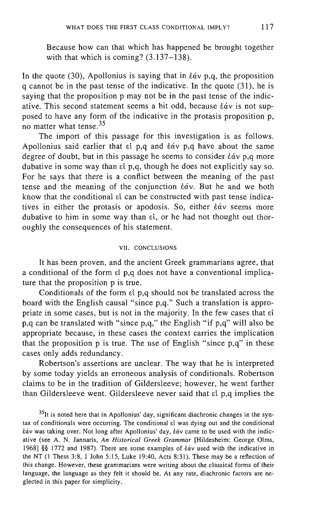Because how can that which has happened be brought together with that which is coming?  $(3.137-138)$ .

In the quote (30), Apollonius is saying that in  $\dot{\varepsilon}$  av p,q, the proposition q cannot be in the past tense of the indicative. In the quote (31), he is saying that the proposition p may not be in the past tense of the indicative. This second statement seems a bit odd, because *šáv* is not supposed to have any form of the indicative in the protasis proposition p, no matter what tense. <sup>35</sup>

The import of this passage for this investigation is as follows. Apollonius said earlier that  $\varepsilon$  p,q and  $\varepsilon$  av p,q have about the same degree of doubt, but in this passage he seems to consider  $\dot{\epsilon}$  av p,q more dubative in some way than  $\epsilon i$  p,q, though he does not explicitly say so. For he says that there is a conflict between the meaning of the past tense and the meaning of the conjunction  $\dot{\varepsilon}$  av. But he and we both know that the conditional  $\epsilon i$  can be constructed with past tense indicatives in either the protasis or apodosis. So, either  $\dot{\epsilon}$  av seems more dubative to him in some way than  $\epsilon i$ , or he had not thought out thoroughly the consequences of his statement.

#### VII. CONCLUSIONS

It has been proven, and the ancient Greek grammarians agree, that a conditional of the form  $\epsilon i$  p,q does not have a conventional implicature that the proposition p is true.

Conditionals of the form  $\epsilon i$  p,q should not be translated across the board with the English causal "since p,q." Such a translation is appropriate in some cases, but is not in the majority. In the few cases that  $\epsilon i$ p,q can be translated with "since p,q," the English "if p,q" will also be appropriate because, in these cases the context carries the implication that the proposition p is true. The use of English "since p,q" in these cases only adds redundancy.

Robertson's assertions are unclear. The way that he is interpreted by some today yields an erroneous analysis of conditionals. Robertson claims to be in the tradition of Giidersleeve; however, he went farther than Gildersleeve went. Gildersleeve never said that  $\epsilon i$  p,q implies the

<sup>35</sup>It is noted here that in Apollonius' day, significant diachronic changes in the syntax of conditionals were occurring. The conditional  $\epsilon$  was dying out and the conditional EaV was taking over. Not long after Apollonius' day, EaV came to be used with the indicative (see A. N. Jannaris, *An Historical Greek Grammar* [Hildesheim: George Olms, 1968] §§ 1772 and 1987). There are some examples of *tav* used with the indicative in the NT (l Thess 3:8, 1 John 5:15, Luke 19:40, Acts 8:31). These may be a reflection of this change. However, these grammarians were writing about the classical forms of their language, the language as they felt it should be. At any rate, diachronic factors are neglected in this paper for simplicity.